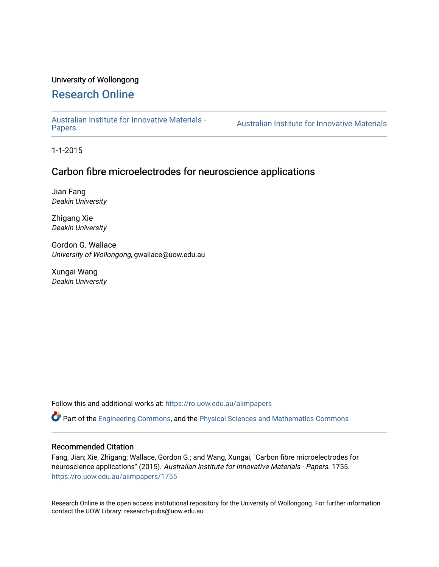### University of Wollongong

## [Research Online](https://ro.uow.edu.au/)

[Australian Institute for Innovative Materials -](https://ro.uow.edu.au/aiimpapers)

Australian Institute for Innovative Materials

1-1-2015

## Carbon fibre microelectrodes for neuroscience applications

Jian Fang Deakin University

Zhigang Xie Deakin University

Gordon G. Wallace University of Wollongong, gwallace@uow.edu.au

Xungai Wang Deakin University

Follow this and additional works at: [https://ro.uow.edu.au/aiimpapers](https://ro.uow.edu.au/aiimpapers?utm_source=ro.uow.edu.au%2Faiimpapers%2F1755&utm_medium=PDF&utm_campaign=PDFCoverPages)

Part of the [Engineering Commons](http://network.bepress.com/hgg/discipline/217?utm_source=ro.uow.edu.au%2Faiimpapers%2F1755&utm_medium=PDF&utm_campaign=PDFCoverPages), and the [Physical Sciences and Mathematics Commons](http://network.bepress.com/hgg/discipline/114?utm_source=ro.uow.edu.au%2Faiimpapers%2F1755&utm_medium=PDF&utm_campaign=PDFCoverPages) 

### Recommended Citation

Fang, Jian; Xie, Zhigang; Wallace, Gordon G.; and Wang, Xungai, "Carbon fibre microelectrodes for neuroscience applications" (2015). Australian Institute for Innovative Materials - Papers. 1755. [https://ro.uow.edu.au/aiimpapers/1755](https://ro.uow.edu.au/aiimpapers/1755?utm_source=ro.uow.edu.au%2Faiimpapers%2F1755&utm_medium=PDF&utm_campaign=PDFCoverPages) 

Research Online is the open access institutional repository for the University of Wollongong. For further information contact the UOW Library: research-pubs@uow.edu.au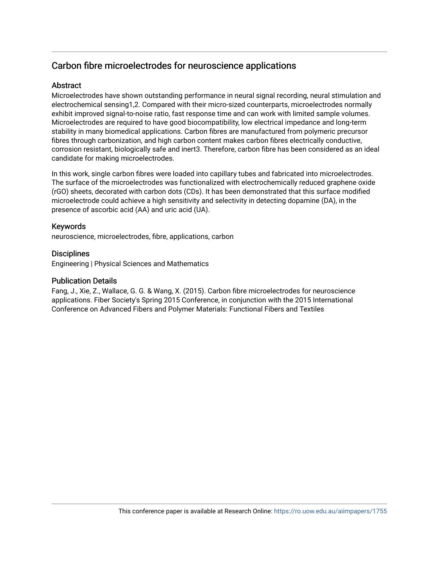## Carbon fibre microelectrodes for neuroscience applications

### Abstract

Microelectrodes have shown outstanding performance in neural signal recording, neural stimulation and electrochemical sensing1,2. Compared with their micro-sized counterparts, microelectrodes normally exhibit improved signal-to-noise ratio, fast response time and can work with limited sample volumes. Microelectrodes are required to have good biocompatibility, low electrical impedance and long-term stability in many biomedical applications. Carbon fibres are manufactured from polymeric precursor fibres through carbonization, and high carbon content makes carbon fibres electrically conductive, corrosion resistant, biologically safe and inert3. Therefore, carbon fibre has been considered as an ideal candidate for making microelectrodes.

In this work, single carbon fibres were loaded into capillary tubes and fabricated into microelectrodes. The surface of the microelectrodes was functionalized with electrochemically reduced graphene oxide (rGO) sheets, decorated with carbon dots (CDs). It has been demonstrated that this surface modified microelectrode could achieve a high sensitivity and selectivity in detecting dopamine (DA), in the presence of ascorbic acid (AA) and uric acid (UA).

### Keywords

neuroscience, microelectrodes, fibre, applications, carbon

### **Disciplines**

Engineering | Physical Sciences and Mathematics

### Publication Details

Fang, J., Xie, Z., Wallace, G. G. & Wang, X. (2015). Carbon fibre microelectrodes for neuroscience applications. Fiber Society's Spring 2015 Conference, in conjunction with the 2015 International Conference on Advanced Fibers and Polymer Materials: Functional Fibers and Textiles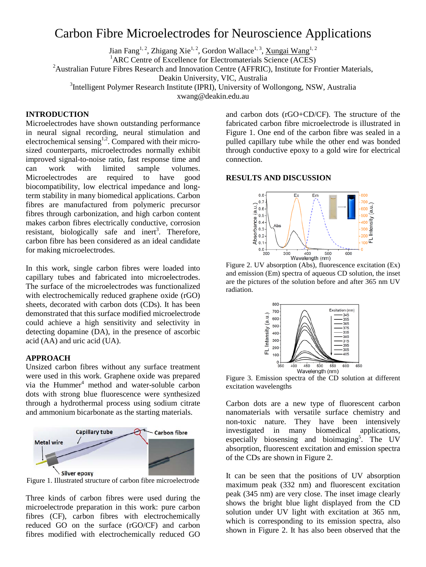# Carbon Fibre Microelectrodes for Neuroscience Applications

Jian Fang<sup>1, 2</sup>, Zhigang Xie<sup>1, 2</sup>, Gordon Wallace<sup>1, 3</sup>, <u>Xungai Wang<sup>1, 2</sup></u>

<sup>1</sup>ARC Centre of Excellence for Electromaterials Science (ACES)

<sup>2</sup> Australian Future Fibres Research and Innovation Centre (AFFRIC), Institute for Frontier Materials,

Deakin University, VIC, Australia

<sup>3</sup>Intelligent Polymer Research Institute (IPRI), University of Wollongong, NSW, Australia

xwang@deakin.edu.au

### **INTRODUCTION**

Microelectrodes have shown outstanding performance in neural signal recording, neural stimulation and electrochemical sensing<sup>1,2</sup>. Compared with their microsized counterparts, microelectrodes normally exhibit improved signal-to-noise ratio, fast response time and can work with limited sample volumes. Microelectrodes are required to have good biocompatibility, low electrical impedance and longterm stability in many biomedical applications. Carbon fibres are manufactured from polymeric precursor fibres through carbonization, and high carbon content makes carbon fibres electrically conductive, corrosion resistant, biologically safe and inert<sup>3</sup>. Therefore, carbon fibre has been considered as an ideal candidate for making microelectrodes.

In this work, single carbon fibres were loaded into capillary tubes and fabricated into microelectrodes. The surface of the microelectrodes was functionalized with electrochemically reduced graphene oxide (rGO) sheets, decorated with carbon dots (CDs). It has been demonstrated that this surface modified microelectrode could achieve a high sensitivity and selectivity in detecting dopamine (DA), in the presence of ascorbic acid (AA) and uric acid (UA).

### **APPROACH**

Unsized carbon fibres without any surface treatment were used in this work. Graphene oxide was prepared via the Hummer<sup>4</sup> method and water-soluble carbon dots with strong blue fluorescence were synthesized through a hydrothermal process using sodium citrate and ammonium bicarbonate as the starting materials.



Figure 1. Illustrated structure of carbon fibre microelectrode

Three kinds of carbon fibres were used during the microelectrode preparation in this work: pure carbon fibres (CF), carbon fibres with electrochemically reduced GO on the surface (rGO/CF) and carbon fibres modified with electrochemically reduced GO

and carbon dots (rGO+CD/CF). The structure of the fabricated carbon fibre microelectrode is illustrated in Figure 1. One end of the carbon fibre was sealed in a pulled capillary tube while the other end was bonded through conductive epoxy to a gold wire for electrical connection.

### **RESULTS AND DISCUSSION**



Figure 2. UV absorption (Abs), fluorescence excitation (Ex) and emission (Em) spectra of aqueous CD solution, the inset are the pictures of the solution before and after 365 nm UV radiation.



Figure 3. Emission spectra of the CD solution at different excitation wavelengths

Carbon dots are a new type of fluorescent carbon nanomaterials with versatile surface chemistry and non-toxic nature. They have been intensively investigated in many biomedical applications, especially biosensing and bioimaging<sup>5</sup>. The UV absorption, fluorescent excitation and emission spectra of the CDs are shown in Figure 2.

It can be seen that the positions of UV absorption maximum peak (332 nm) and fluorescent excitation peak (345 nm) are very close. The inset image clearly shows the bright blue light displayed from the CD solution under UV light with excitation at 365 nm, which is corresponding to its emission spectra, also shown in Figure 2. It has also been observed that the